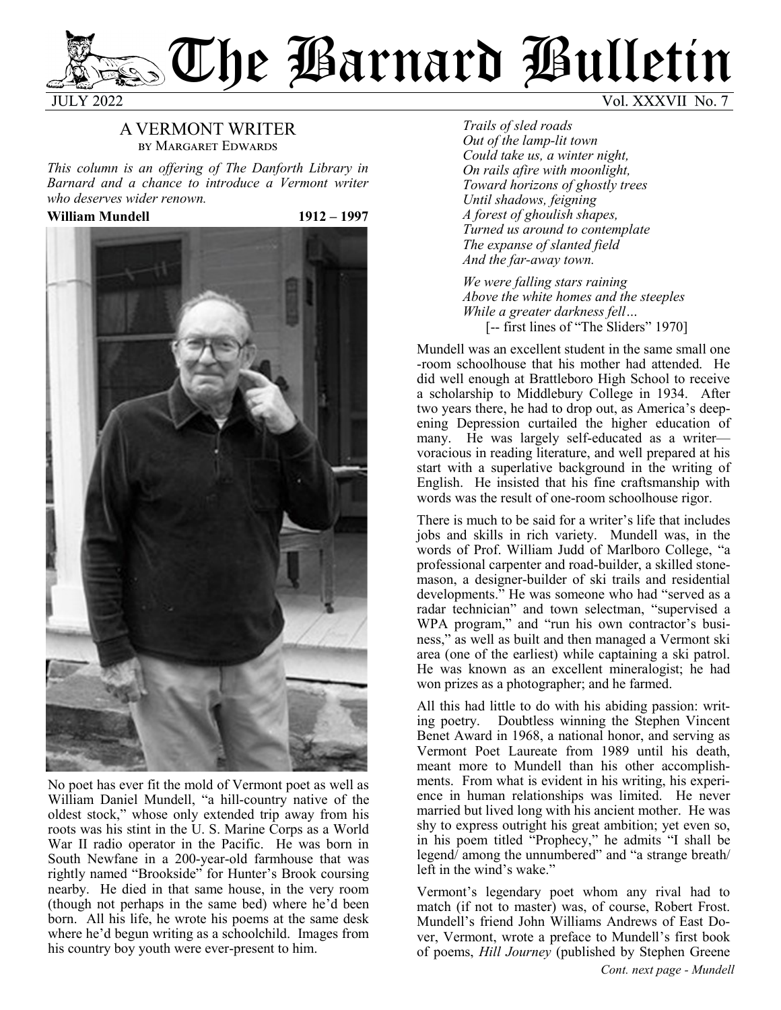# The Barnard Bulletin JULY 2022 Vol. XXXVII No. 7

#### A VERMONT WRITER by Margaret Edwards

*This column is an offering of The Danforth Library in Barnard and a chance to introduce a Vermont writer who deserves wider renown.*

**William Mundell 1912 – 1997**



No poet has ever fit the mold of Vermont poet as well as William Daniel Mundell, "a hill-country native of the oldest stock," whose only extended trip away from his roots was his stint in the U. S. Marine Corps as a World War II radio operator in the Pacific. He was born in South Newfane in a 200-year-old farmhouse that was rightly named "Brookside" for Hunter's Brook coursing nearby. He died in that same house, in the very room (though not perhaps in the same bed) where he'd been born. All his life, he wrote his poems at the same desk where he'd begun writing as a schoolchild. Images from his country boy youth were ever-present to him.

*Trails of sled roads Out of the lamp-lit town Could take us, a winter night, On rails afire with moonlight, Toward horizons of ghostly trees Until shadows, feigning A forest of ghoulish shapes, Turned us around to contemplate The expanse of slanted field And the far-away town.*

*We were falling stars raining Above the white homes and the steeples While a greater darkness fell…* [-- first lines of "The Sliders" 1970]

Mundell was an excellent student in the same small one -room schoolhouse that his mother had attended. He did well enough at Brattleboro High School to receive a scholarship to Middlebury College in 1934. After two years there, he had to drop out, as America's deepening Depression curtailed the higher education of many. He was largely self-educated as a writer voracious in reading literature, and well prepared at his start with a superlative background in the writing of English. He insisted that his fine craftsmanship with words was the result of one-room schoolhouse rigor.

There is much to be said for a writer's life that includes jobs and skills in rich variety. Mundell was, in the words of Prof. William Judd of Marlboro College, "a professional carpenter and road-builder, a skilled stonemason, a designer-builder of ski trails and residential developments." He was someone who had "served as a radar technician" and town selectman, "supervised a WPA program," and "run his own contractor's business," as well as built and then managed a Vermont ski area (one of the earliest) while captaining a ski patrol. He was known as an excellent mineralogist; he had won prizes as a photographer; and he farmed.

All this had little to do with his abiding passion: writing poetry. Doubtless winning the Stephen Vincent Benet Award in 1968, a national honor, and serving as Vermont Poet Laureate from 1989 until his death, meant more to Mundell than his other accomplishments. From what is evident in his writing, his experience in human relationships was limited. He never married but lived long with his ancient mother. He was shy to express outright his great ambition; yet even so, in his poem titled "Prophecy," he admits "I shall be legend/ among the unnumbered" and "a strange breath/ left in the wind's wake."

Vermont's legendary poet whom any rival had to match (if not to master) was, of course, Robert Frost. Mundell's friend John Williams Andrews of East Dover, Vermont, wrote a preface to Mundell's first book of poems, *Hill Journey* (published by Stephen Greene

*Cont. next page - Mundell*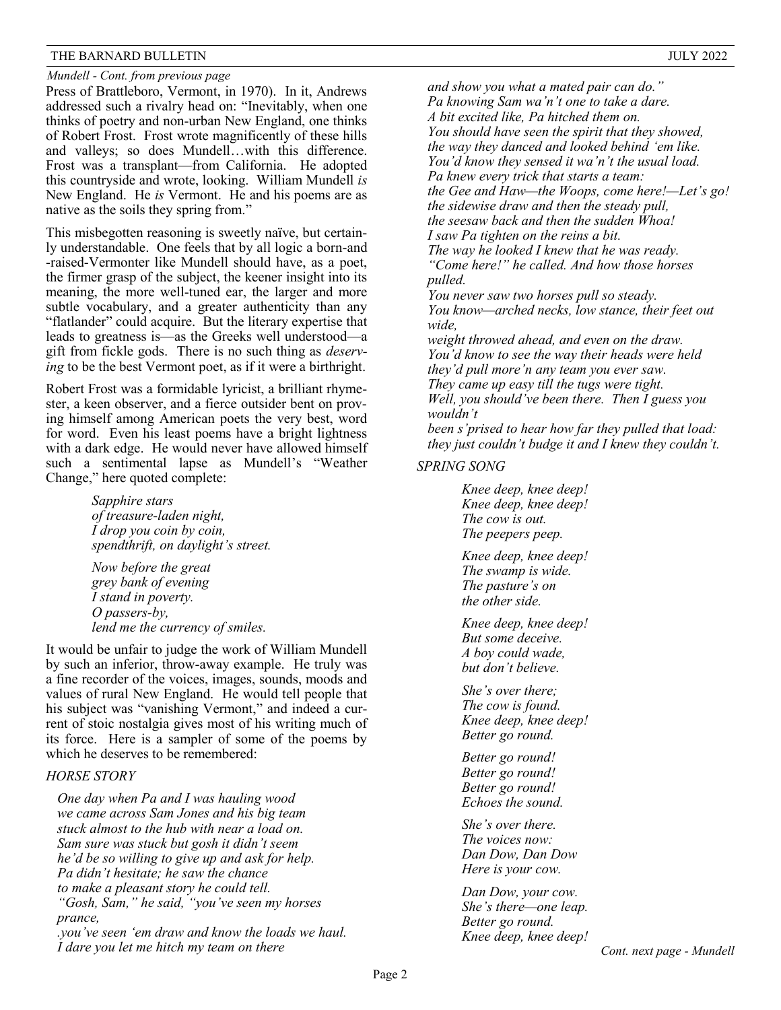#### THE BARNARD BULLETIN JULY 2022

*Mundell - Cont. from previous page* Press of Brattleboro, Vermont, in 1970). In it, Andrews addressed such a rivalry head on: "Inevitably, when one thinks of poetry and non-urban New England, one thinks of Robert Frost. Frost wrote magnificently of these hills and valleys; so does Mundell…with this difference. Frost was a transplant—from California. He adopted this countryside and wrote, looking. William Mundell *is* New England. He *is* Vermont. He and his poems are as native as the soils they spring from."

This misbegotten reasoning is sweetly naïve, but certainly understandable. One feels that by all logic a born-and -raised-Vermonter like Mundell should have, as a poet, the firmer grasp of the subject, the keener insight into its meaning, the more well-tuned ear, the larger and more subtle vocabulary, and a greater authenticity than any "flatlander" could acquire. But the literary expertise that leads to greatness is—as the Greeks well understood—a gift from fickle gods. There is no such thing as *deserving* to be the best Vermont poet, as if it were a birthright.

Robert Frost was a formidable lyricist, a brilliant rhymester, a keen observer, and a fierce outsider bent on proving himself among American poets the very best, word for word. Even his least poems have a bright lightness with a dark edge. He would never have allowed himself such a sentimental lapse as Mundell's "Weather Change," here quoted complete:

> *Sapphire stars of treasure-laden night, I drop you coin by coin, spendthrift, on daylight's street.*

*Now before the great grey bank of evening I stand in poverty. O passers-by, lend me the currency of smiles.*

It would be unfair to judge the work of William Mundell by such an inferior, throw-away example. He truly was a fine recorder of the voices, images, sounds, moods and values of rural New England. He would tell people that his subject was "vanishing Vermont," and indeed a current of stoic nostalgia gives most of his writing much of its force. Here is a sampler of some of the poems by which he deserves to be remembered:

## *HORSE STORY*

*One day when Pa and I was hauling wood we came across Sam Jones and his big team stuck almost to the hub with near a load on. Sam sure was stuck but gosh it didn't seem he'd be so willing to give up and ask for help. Pa didn't hesitate; he saw the chance to make a pleasant story he could tell. "Gosh, Sam," he said, "you've seen my horses prance, .you've seen 'em draw and know the loads we haul. I dare you let me hitch my team on there*

*and show you what a mated pair can do." Pa knowing Sam wa'n't one to take a dare. A bit excited like, Pa hitched them on. You should have seen the spirit that they showed, the way they danced and looked behind 'em like. You'd know they sensed it wa'n't the usual load. Pa knew every trick that starts a team: the Gee and Haw—the Woops, come here!—Let's go! the sidewise draw and then the steady pull, the seesaw back and then the sudden Whoa! I saw Pa tighten on the reins a bit. The way he looked I knew that he was ready. "Come here!" he called. And how those horses pulled. You never saw two horses pull so steady. You know—arched necks, low stance, their feet out* 

*wide, weight throwed ahead, and even on the draw. You'd know to see the way their heads were held* 

*they'd pull more'n any team you ever saw. They came up easy till the tugs were tight. Well, you should've been there. Then I guess you wouldn't*

*been s'prised to hear how far they pulled that load: they just couldn't budge it and I knew they couldn't.*

## *SPRING SONG*

*Knee deep, knee deep! Knee deep, knee deep! The cow is out. The peepers peep.*

*Knee deep, knee deep! The swamp is wide. The pasture's on the other side.*

*Knee deep, knee deep! But some deceive. A boy could wade, but don't believe.*

*She's over there; The cow is found. Knee deep, knee deep! Better go round.*

*Better go round! Better go round! Better go round! Echoes the sound.*

*She's over there. The voices now: Dan Dow, Dan Dow Here is your cow.*

*Dan Dow, your cow. She's there—one leap. Better go round. Knee deep, knee deep!*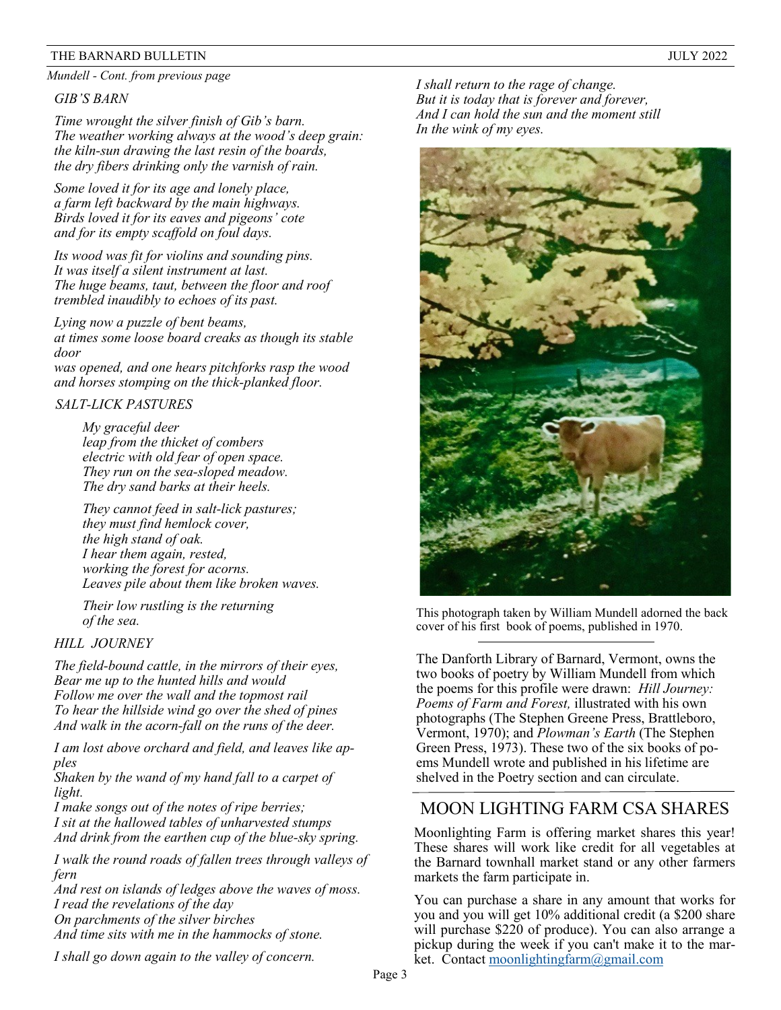## THE BARNARD BULLETIN JULY 2022

*Mundell - Cont. from previous page*

#### *GIB'S BARN*

*Time wrought the silver finish of Gib's barn. The weather working always at the wood's deep grain: the kiln-sun drawing the last resin of the boards, the dry fibers drinking only the varnish of rain.*

*Some loved it for its age and lonely place, a farm left backward by the main highways. Birds loved it for its eaves and pigeons' cote and for its empty scaffold on foul days.*

*Its wood was fit for violins and sounding pins. It was itself a silent instrument at last. The huge beams, taut, between the floor and roof trembled inaudibly to echoes of its past.*

*Lying now a puzzle of bent beams, at times some loose board creaks as though its stable door* 

*was opened, and one hears pitchforks rasp the wood and horses stomping on the thick-planked floor.*

#### *SALT-LICK PASTURES*

*My graceful deer leap from the thicket of combers electric with old fear of open space. They run on the sea-sloped meadow. The dry sand barks at their heels.*

*They cannot feed in salt-lick pastures; they must find hemlock cover, the high stand of oak. I hear them again, rested, working the forest for acorns. Leaves pile about them like broken waves.*

*Their low rustling is the returning of the sea.*

## *HILL JOURNEY*

*The field-bound cattle, in the mirrors of their eyes, Bear me up to the hunted hills and would Follow me over the wall and the topmost rail To hear the hillside wind go over the shed of pines And walk in the acorn-fall on the runs of the deer.*

*I am lost above orchard and field, and leaves like apples*

*Shaken by the wand of my hand fall to a carpet of light.*

*I make songs out of the notes of ripe berries; I sit at the hallowed tables of unharvested stumps And drink from the earthen cup of the blue-sky spring.*

*I walk the round roads of fallen trees through valleys of fern*

*And rest on islands of ledges above the waves of moss. I read the revelations of the day On parchments of the silver birches And time sits with me in the hammocks of stone.*

*I shall go down again to the valley of concern.*

*I shall return to the rage of change. But it is today that is forever and forever, And I can hold the sun and the moment still In the wink of my eyes.*



This photograph taken by William Mundell adorned the back cover of his first book of poems, published in 1970.

The Danforth Library of Barnard, Vermont, owns the two books of poetry by William Mundell from which the poems for this profile were drawn: *Hill Journey: Poems of Farm and Forest,* illustrated with his own photographs (The Stephen Greene Press, Brattleboro, Vermont, 1970); and *Plowman's Earth* (The Stephen Green Press, 1973). These two of the six books of poems Mundell wrote and published in his lifetime are shelved in the Poetry section and can circulate.

## MOON LIGHTING FARM CSA SHARES

Moonlighting Farm is offering market shares this year! These shares will work like credit for all vegetables at the Barnard townhall market stand or any other farmers markets the farm participate in.

You can purchase a share in any amount that works for you and you will get 10% additional credit (a \$200 share will purchase \$220 of produce). You can also arrange a pickup during the week if you can't make it to the market. Contact [moonlightingfarm@gmail.com](mailto:moonlightingfarm@gmail.com)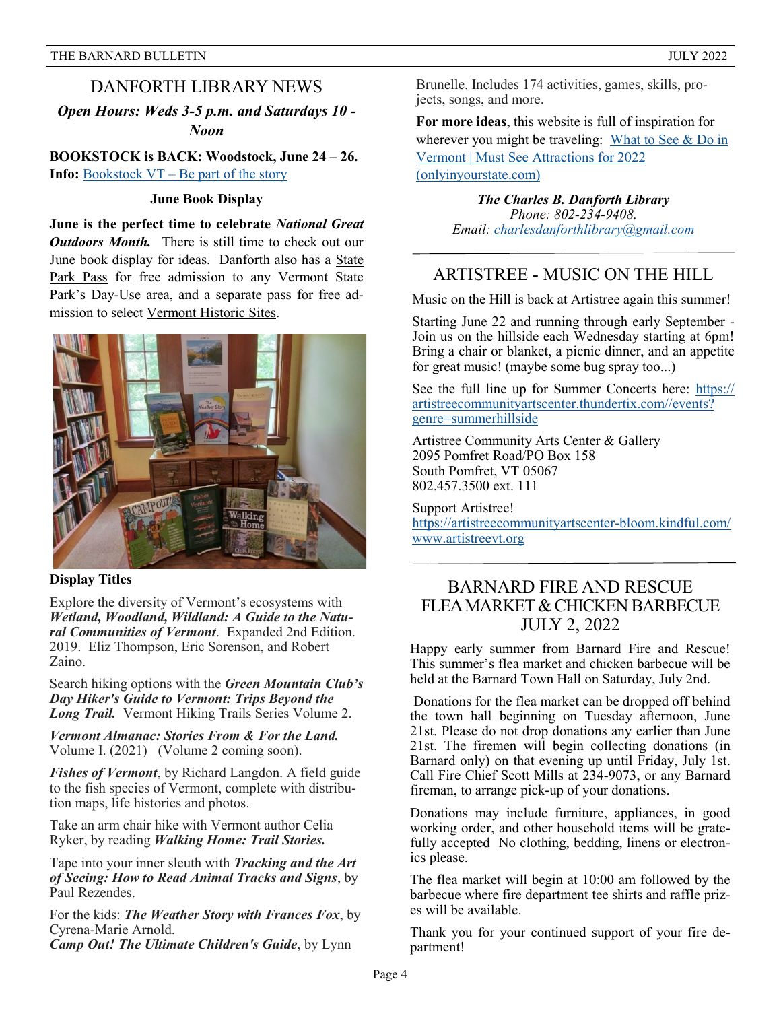# DANFORTH LIBRARY NEWS *Open Hours: Weds 3-5 p.m. and Saturdays 10 - Noon*

**BOOKSTOCK is BACK: Woodstock, June 24 – 26. Info:** Bookstock VT – [Be part of the story](https://bookstockvt.org/)

## **June Book Display**

**June is the perfect time to celebrate** *National Great Outdoors Month.* There is still time to check out our June book display for ideas. Danforth also has a State Park Pass for free admission to any Vermont State Park's Day-Use area, and a separate pass for free admission to select Vermont Historic Sites.



## **Display Titles**

Explore the diversity of Vermont's ecosystems with *Wetland, Woodland, Wildland: A Guide to the Natural Communities of Vermont*. Expanded 2nd Edition. 2019. Eliz Thompson, Eric Sorenson, and Robert Zaino.

Search hiking options with the *Green Mountain Club's Day Hiker's Guide to Vermont: Trips Beyond the Long Trail.* Vermont Hiking Trails Series Volume 2.

*Vermont Almanac: Stories From & For the Land.* Volume I. (2021) (Volume 2 coming soon).

*Fishes of Vermont*, by Richard Langdon. A field guide to the fish species of Vermont, complete with distribution maps, life histories and photos.

Take an arm chair hike with Vermont author Celia Ryker, by reading *Walking Home: Trail Stories.*

Tape into your inner sleuth with *Tracking and the Art of Seeing: How to Read Animal Tracks and Signs*, by Paul Rezendes.

For the kids: *The Weather Story with Frances Fox*, by Cyrena-Marie Arnold. *Camp Out! The Ultimate Children's Guide*, by Lynn

Brunelle. Includes 174 activities, games, skills, projects, songs, and more.

**For more ideas**, this website is full of inspiration for wherever you might be traveling: What to See & Do in [Vermont | Must See Attractions for 2022](https://www.onlyinyourstate.com/states/vermont/) 

[\(onlyinyourstate.com\)](https://www.onlyinyourstate.com/states/vermont/)

*The Charles B. Danforth Library Phone: 802-234-9408. Email: [charlesdanforthlibrary@gmail.com](mailto:charlesdanforthlibrary@gmail.com)*

## ARTISTREE - MUSIC ON THE HILL

Music on the Hill is back at Artistree again this summer!

Starting June 22 and running through early September - Join us on the hillside each Wednesday starting at 6pm! Bring a chair or blanket, a picnic dinner, and an appetite for great music! (maybe some bug spray too...)

See the full line up for Summer Concerts here: [https://](https://artistreecommunityartscenter.thundertix.com/events?genre=summerhillside) [artistreecommunityartscenter.thundertix.com//events?](https://artistreecommunityartscenter.thundertix.com/events?genre=summerhillside) [genre=summerhillside](https://artistreecommunityartscenter.thundertix.com/events?genre=summerhillside)

Artistree Community Arts Center & Gallery 2095 Pomfret Road/PO Box 158 South Pomfret, VT 05067 802.457.3500 ext. 111

Support Artistree! [https://artistreecommunityartscenter](https://artistreecommunityartscenter-bloom.kindful.com/)-bloom.kindful.com/ [www.artistreevt.org](http://www.artistreevt.org)

## BARNARD FIRE AND RESCUE FLEA MARKET & CHICKEN BARBECUE JULY 2, 2022

Happy early summer from Barnard Fire and Rescue! This summer's flea market and chicken barbecue will be held at the Barnard Town Hall on Saturday, July 2nd.

Donations for the flea market can be dropped off behind the town hall beginning on Tuesday afternoon, June 21st. Please do not drop donations any earlier than June 21st. The firemen will begin collecting donations (in Barnard only) on that evening up until Friday, July 1st. Call Fire Chief Scott Mills at 234-9073, or any Barnard fireman, to arrange pick-up of your donations.

Donations may include furniture, appliances, in good working order, and other household items will be gratefully accepted No clothing, bedding, linens or electronics please.

The flea market will begin at 10:00 am followed by the barbecue where fire department tee shirts and raffle prizes will be available.

Thank you for your continued support of your fire department!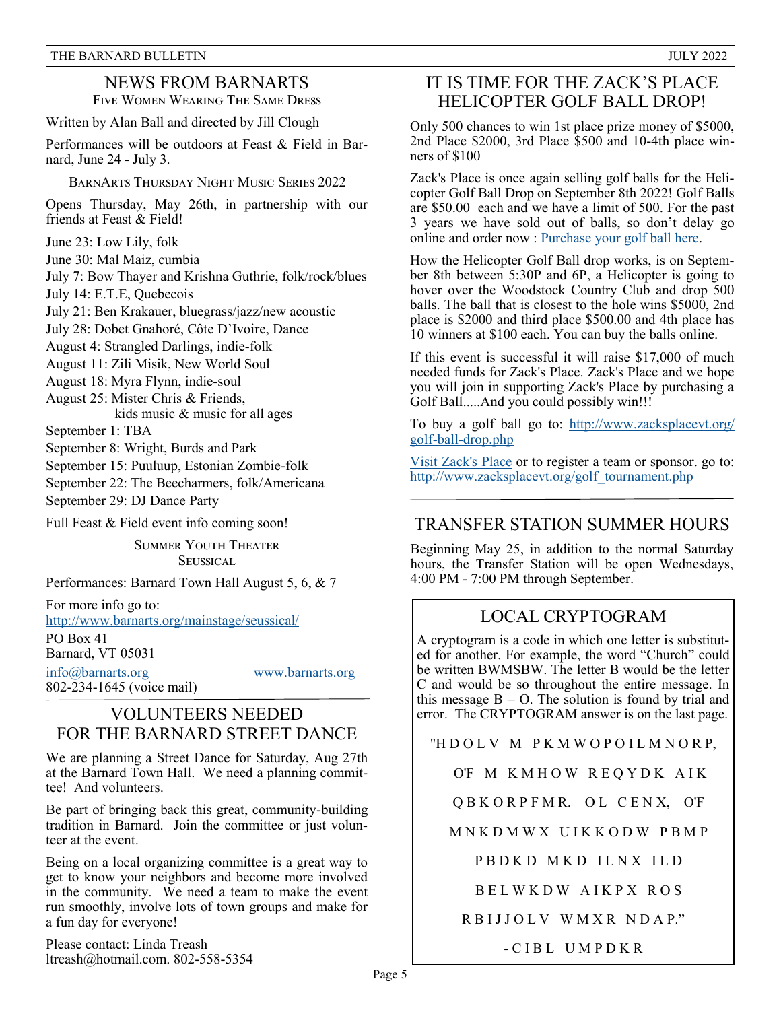## NEWS FROM BARNARTS Five Women Wearing The Same Dress

Written by Alan Ball and directed by Jill Clough

Performances will be outdoors at Feast & Field in Barnard, June 24 - July 3.

BarnArts Thursday Night Music Series 2022

Opens Thursday, May 26th, in partnership with our friends at Feast & Field!

June 23: Low Lily, folk

June 30: Mal Maiz, cumbia

July 7: Bow Thayer and Krishna Guthrie, folk/rock/blues

July 14: E.T.E, Quebecois

July 21: Ben Krakauer, bluegrass/jazz/new acoustic

July 28: Dobet Gnahoré, Côte D'Ivoire, Dance

August 4: Strangled Darlings, indie-folk

August 11: Zili Misik, New World Soul

August 18: Myra Flynn, indie-soul

August 25: Mister Chris & Friends, kids music & music for all ages

September 1: TBA

September 8: Wright, Burds and Park

September 15: Puuluup, Estonian Zombie-folk

September 22: The Beecharmers, folk/Americana

September 29: DJ Dance Party

Full Feast & Field event info coming soon!

Summer Youth Theater **SEUSSICAL** 

Performances: Barnard Town Hall August 5, 6, & 7

For more info go to: <http://www.barnarts.org/mainstage/seussical/>

PO Box 41 Barnard, VT 05031

[info@barnarts.org](mailto:info@barnarts.org) [www.barnarts.org](http://www.barnarts.org) 802-234-1645 (voice mail)

## VOLUNTEERS NEEDED FOR THE BARNARD STREET DANCE

We are planning a Street Dance for Saturday, Aug 27th at the Barnard Town Hall. We need a planning committee! And volunteers.

Be part of bringing back this great, community-building tradition in Barnard. Join the committee or just volunteer at the event.

Being on a local organizing committee is a great way to get to know your neighbors and become more involved in the community. We need a team to make the event run smoothly, involve lots of town groups and make for a fun day for everyone!

Please contact: Linda Treash ltreash@hotmail.com. 802-558-5354

## IT IS TIME FOR THE ZACK'S PLACE HELICOPTER GOLF BALL DROP!

Only 500 chances to win 1st place prize money of \$5000, 2nd Place \$2000, 3rd Place \$500 and 10-4th place winners of \$100

Zack's Place is once again selling golf balls for the Helicopter Golf Ball Drop on September 8th 2022! Golf Balls are \$50.00 each and we have a limit of 500. For the past 3 years we have sold out of balls, so don't delay go online and order now : [Purchase your golf ball here.](https://zacksplacevt.org/events/helicopter-golf-ball-drop/)

How the Helicopter Golf Ball drop works, is on September 8th between 5:30P and 6P, a Helicopter is going to hover over the Woodstock Country Club and drop 500 balls. The ball that is closest to the hole wins \$5000, 2nd place is \$2000 and third place \$500.00 and 4th place has 10 winners at \$100 each. You can buy the balls online.

If this event is successful it will raise \$17,000 of much needed funds for Zack's Place. Zack's Place and we hope you will join in supporting Zack's Place by purchasing a Golf Ball.....And you could possibly win!!!

To buy a golf ball go to: [http://www.zacksplacevt.org/](http://www.zacksplacevt.org/golf-ball-drop.php) golf-ball-[drop.php](http://www.zacksplacevt.org/golf-ball-drop.php)

[Visit Zack's Place](https://zacksplacevt.org/) or to register a team or sponsor. go to: [http://www.zacksplacevt.org/golf\\_tournament.php](http://www.zacksplacevt.org/golf_tournament.php)

## TRANSFER STATION SUMMER HOURS

Beginning May 25, in addition to the normal Saturday hours, the Transfer Station will be open Wednesdays, 4:00 PM - 7:00 PM through September.

## LOCAL CRYPTOGRAM

A cryptogram is a code in which one letter is substituted for another. For example, the word "Church" could be written BWMSBW. The letter B would be the letter C and would be so throughout the entire message. In this message  $B = O$ . The solution is found by trial and error. The CRYPTOGRAM answer is on the last page.

"HDOLV M PKMWOPOILMNORP,

O'F M KMHOW REOYDK AIK

Q B K O R P F M R. O L C E N X, O'F

M N K D M W X U I K K O D W P B M P

P B D K D M K D I L N X I L D

B E L W K D W A I K P X R O S

R B I J J O L V W M X R N D A P."

- C I B L U M P D K R